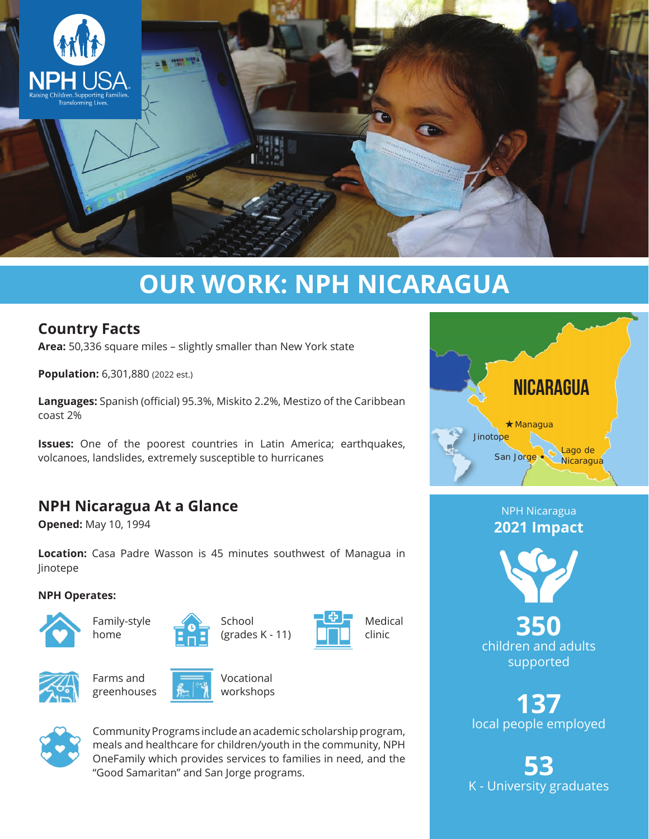

# **OUR WORK: NPH NICARAGUA**

## **Country Facts**

**Area:** 50,336 square miles – slightly smaller than New York state

**Population:** 6,301,880 (2022 est.)

**Languages:** Spanish (official) 95.3%, Miskito 2.2%, Mestizo of the Caribbean coast 2%

**Issues:** One of the poorest countries in Latin America; earthquakes, volcanoes, landslides, extremely susceptible to hurricanes

# **NPH Nicaragua At a Glance**

**Opened:** May 10, 1994

**Location:** Casa Padre Wasson is 45 minutes southwest of Managua in Jinotepe

#### **NPH Operates:**







School (grades K - 11)







Farms and greenhouses



Vocational workshops



Community Programs include an academic scholarship program, meals and healthcare for children/youth in the community, NPH OneFamily which provides services to families in need, and the "Good Samaritan" and San Jorge programs.



NPH Nicaragua **2021 Impact**



**350** children and adults supported

**137** local people employed

**53** K - University graduates